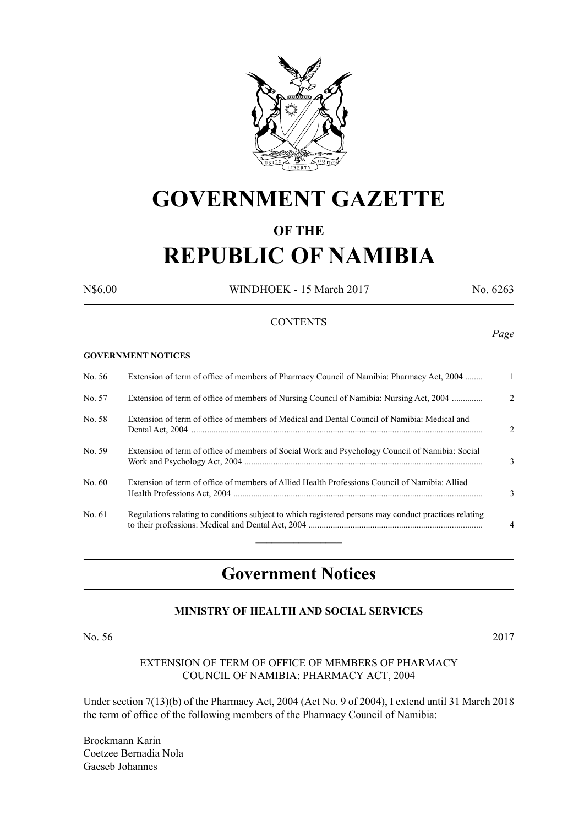

## **GOVERNMENT GAZETTE**

## **OF THE**

# **REPUBLIC OF NAMIBIA**

N\$6.00 WINDHOEK - 15 March 2017 No. 6263

### **CONTENTS**

## *Page*

#### **GOVERNMENT NOTICES**

| No. 56 | Extension of term of office of members of Pharmacy Council of Namibia: Pharmacy Act, 2004             |                |
|--------|-------------------------------------------------------------------------------------------------------|----------------|
| No. 57 | Extension of term of office of members of Nursing Council of Namibia: Nursing Act, 2004               | $2^{1}$        |
| No. 58 | Extension of term of office of members of Medical and Dental Council of Namibia: Medical and          | $\mathfrak{D}$ |
| No. 59 | Extension of term of office of members of Social Work and Psychology Council of Namibia: Social       | 3              |
| No. 60 | Extension of term of office of members of Allied Health Professions Council of Namibia: Allied        | 3              |
| No. 61 | Regulations relating to conditions subject to which registered persons may conduct practices relating | $\overline{4}$ |
|        |                                                                                                       |                |

## **Government Notices**

## **MINISTRY OF HEALTH AND SOCIAL SERVICES**

#### No. 56 2017

### EXTENSION OF TERM OF OFFICE OF MEMBERS OF PHARMACY COUNCIL OF NAMIBIA: PHARMACY ACT, 2004

Under section 7(13)(b) of the Pharmacy Act, 2004 (Act No. 9 of 2004), I extend until 31 March 2018 the term of office of the following members of the Pharmacy Council of Namibia:

Brockmann Karin Coetzee Bernadia Nola Gaeseb Johannes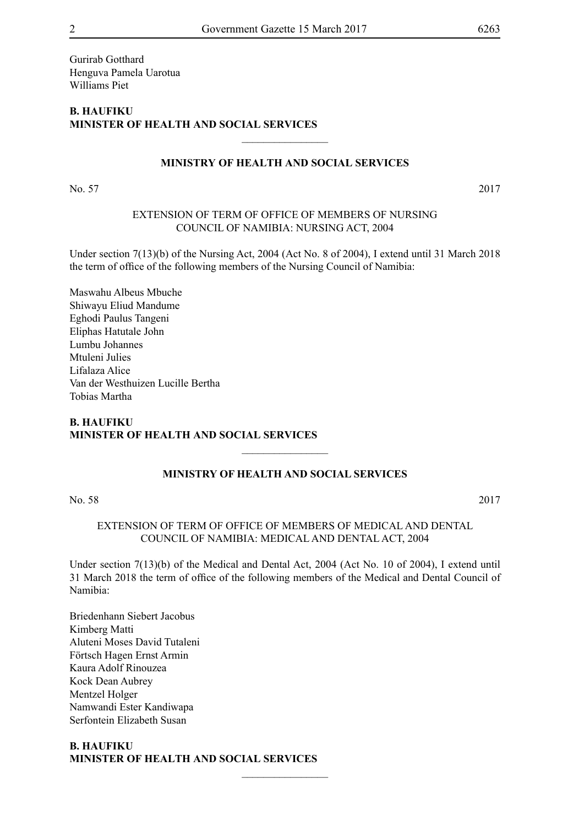Gurirab Gotthard Henguva Pamela Uarotua Williams Piet

## **B. Haufiku Minister of Health and Social Services**

## **MINISTRY OF HEALTH AND SOCIAL SERVICES**

 $\frac{1}{2}$ 

No. 57 2017

### EXTENSION OF TERM OF OFFICE OF MEMBERS OF NURSING COUNCIL OF NAMIBIA: NURSING ACT, 2004

Under section 7(13)(b) of the Nursing Act, 2004 (Act No. 8 of 2004), I extend until 31 March 2018 the term of office of the following members of the Nursing Council of Namibia:

Maswahu Albeus Mbuche Shiwayu Eliud Mandume Eghodi Paulus Tangeni Eliphas Hatutale John Lumbu Johannes Mtuleni Julies Lifalaza Alice Van der Westhuizen Lucille Bertha Tobias Martha

## **B. Haufiku Minister of Health and Social Services**

## **MINISTRY OF HEALTH AND SOCIAL SERVICES**

 $\overline{\phantom{a}}$  , where  $\overline{\phantom{a}}$ 

No. 58 2017

EXTENSION OF TERM OF OFFICE OF MEMBERS OF MEDICAL AND DENTAL COUNCIL OF NAMIBIA: MEDICAL AND DENTAL ACT, 2004

Under section 7(13)(b) of the Medical and Dental Act, 2004 (Act No. 10 of 2004), I extend until 31 March 2018 the term of office of the following members of the Medical and Dental Council of Namibia:

 $\overline{\phantom{a}}$  , where  $\overline{\phantom{a}}$ 

Briedenhann Siebert Jacobus Kimberg Matti Aluteni Moses David Tutaleni Förtsch Hagen Ernst Armin Kaura Adolf Rinouzea Kock Dean Aubrey Mentzel Holger Namwandi Ester Kandiwapa Serfontein Elizabeth Susan

#### **B. Haufiku Minister of Health and Social Services**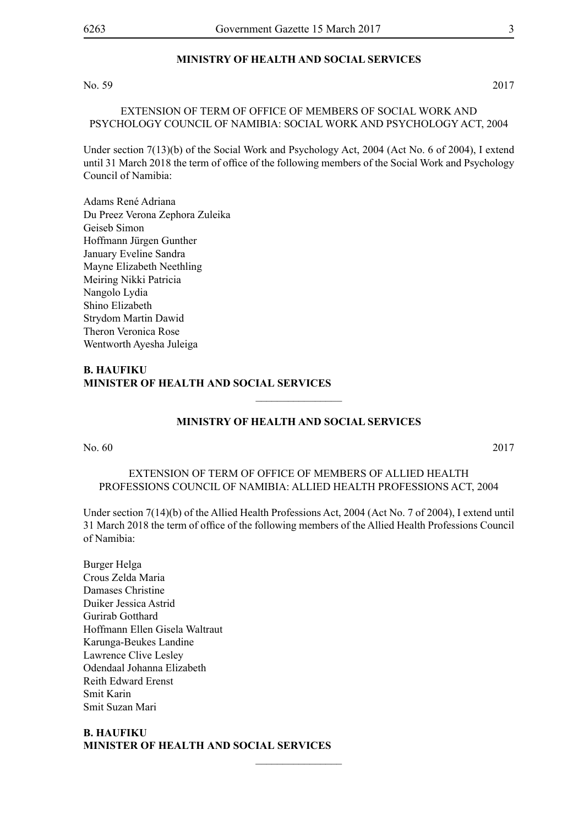#### **MINISTRY OF HEALTH AND SOCIAL SERVICES**

#### No. 59 2017

EXTENSION OF TERM OF OFFICE OF MEMBERS OF SOCIAL WORK AND PSYCHOLOGY COUNCIL OF NAMIBIA: SOCIAL WORK AND PSYCHOLOGY ACT, 2004

Under section 7(13)(b) of the Social Work and Psychology Act, 2004 (Act No. 6 of 2004), I extend until 31 March 2018 the term of office of the following members of the Social Work and Psychology Council of Namibia:

Adams René Adriana Du Preez Verona Zephora Zuleika Geiseb Simon Hoffmann Jürgen Gunther January Eveline Sandra Mayne Elizabeth Neethling Meiring Nikki Patricia Nangolo Lydia Shino Elizabeth Strydom Martin Dawid Theron Veronica Rose Wentworth Ayesha Juleiga

## **B. Haufiku Minister of Health and Social Services**

## **MINISTRY OF HEALTH AND SOCIAL SERVICES**

 $\frac{1}{2}$ 

No. 60 2017

## EXTENSION OF TERM OF OFFICE OF MEMBERS OF ALLIED HEALTH PROFESSIONS COUNCIL OF NAMIBIA: ALLIED HEALTH PROFESSIONS ACT, 2004

Under section 7(14)(b) of the Allied Health Professions Act, 2004 (Act No. 7 of 2004), I extend until 31 March 2018 the term of office of the following members of the Allied Health Professions Council of Namibia:

Burger Helga Crous Zelda Maria Damases Christine Duiker Jessica Astrid Gurirab Gotthard Hoffmann Ellen Gisela Waltraut Karunga-Beukes Landine Lawrence Clive Lesley Odendaal Johanna Elizabeth Reith Edward Erenst Smit Karin Smit Suzan Mari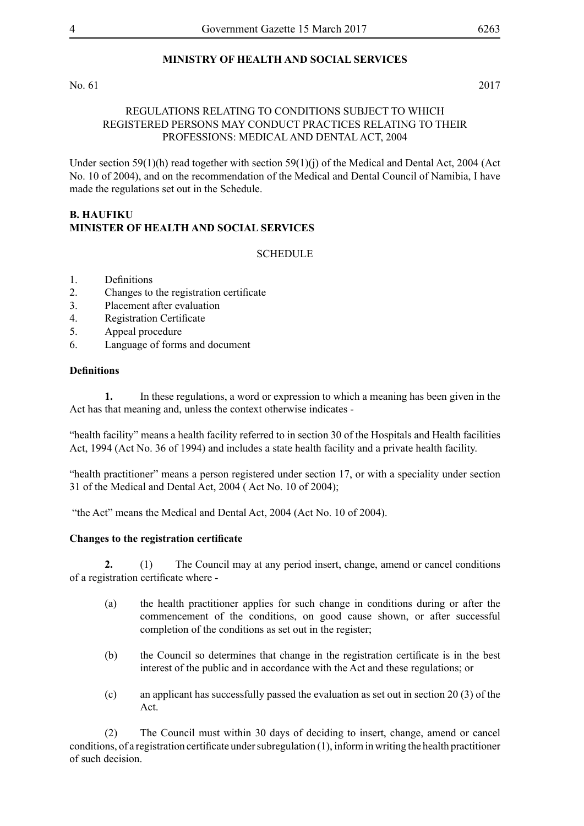## **MINISTRY OF HEALTH AND SOCIAL SERVICES**

No. 61 2017

#### REGULATIONS RELATING TO CONDITIONS SUBJECT TO WHICH REGISTERED PERSONS MAY CONDUCT PRACTICES RELATING TO THEIR PROFESSIONS: MEDICAL AND DENTAL ACT, 2004

Under section 59(1)(h) read together with section 59(1)(j) of the Medical and Dental Act, 2004 (Act No. 10 of 2004), and on the recommendation of the Medical and Dental Council of Namibia, I have made the regulations set out in the Schedule.

## **B. Haufiku Minister of Health and Social Services**

#### **SCHEDULE**

- 1. Definitions
- 2. Changes to the registration certificate
- 3. Placement after evaluation
- 4. Registration Certificate
- 5. Appeal procedure
- 6. Language of forms and document

#### **Definitions**

**1.** In these regulations, a word or expression to which a meaning has been given in the Act has that meaning and, unless the context otherwise indicates -

"health facility" means a health facility referred to in section 30 of the Hospitals and Health facilities Act, 1994 (Act No. 36 of 1994) and includes a state health facility and a private health facility.

"health practitioner" means a person registered under section 17, or with a speciality under section 31 of the Medical and Dental Act, 2004 ( Act No. 10 of 2004);

"the Act" means the Medical and Dental Act, 2004 (Act No. 10 of 2004).

#### **Changes to the registration certificate**

**2.** (1) The Council may at any period insert, change, amend or cancel conditions of a registration certificate where -

- (a) the health practitioner applies for such change in conditions during or after the commencement of the conditions, on good cause shown, or after successful completion of the conditions as set out in the register;
- (b) the Council so determines that change in the registration certificate is in the best interest of the public and in accordance with the Act and these regulations; or
- (c) an applicant has successfully passed the evaluation as set out in section 20 (3) of the Act.

(2) The Council must within 30 days of deciding to insert, change, amend or cancel conditions, of a registration certificate under subregulation (1), inform in writing the health practitioner of such decision.